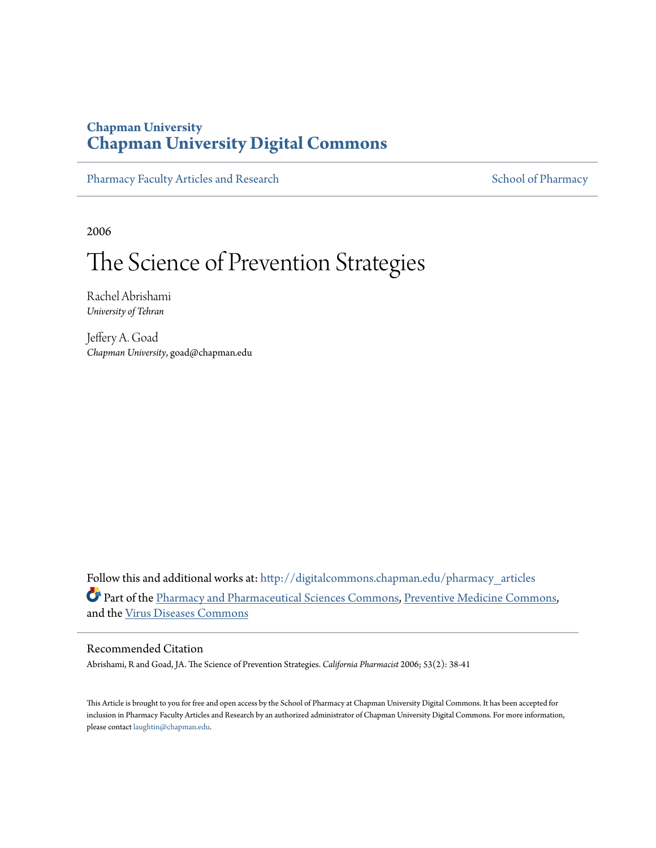## **Chapman University [Chapman University Digital Commons](http://digitalcommons.chapman.edu?utm_source=digitalcommons.chapman.edu%2Fpharmacy_articles%2F54&utm_medium=PDF&utm_campaign=PDFCoverPages)**

[Pharmacy Faculty Articles and Research](http://digitalcommons.chapman.edu/pharmacy_articles?utm_source=digitalcommons.chapman.edu%2Fpharmacy_articles%2F54&utm_medium=PDF&utm_campaign=PDFCoverPages) [School of Pharmacy](http://digitalcommons.chapman.edu/cusp?utm_source=digitalcommons.chapman.edu%2Fpharmacy_articles%2F54&utm_medium=PDF&utm_campaign=PDFCoverPages) School of Pharmacy

2006

# The Science of Prevention Strategies

Rachel Abrishami *University of Tehran*

Jeffery A. Goad *Chapman University*, goad@chapman.edu

Follow this and additional works at: [http://digitalcommons.chapman.edu/pharmacy\\_articles](http://digitalcommons.chapman.edu/pharmacy_articles?utm_source=digitalcommons.chapman.edu%2Fpharmacy_articles%2F54&utm_medium=PDF&utm_campaign=PDFCoverPages) Part of the [Pharmacy and Pharmaceutical Sciences Commons](http://network.bepress.com/hgg/discipline/731?utm_source=digitalcommons.chapman.edu%2Fpharmacy_articles%2F54&utm_medium=PDF&utm_campaign=PDFCoverPages), [Preventive Medicine Commons,](http://network.bepress.com/hgg/discipline/703?utm_source=digitalcommons.chapman.edu%2Fpharmacy_articles%2F54&utm_medium=PDF&utm_campaign=PDFCoverPages) and the [Virus Diseases Commons](http://network.bepress.com/hgg/discipline/998?utm_source=digitalcommons.chapman.edu%2Fpharmacy_articles%2F54&utm_medium=PDF&utm_campaign=PDFCoverPages)

#### Recommended Citation

Abrishami, R and Goad, JA. The Science of Prevention Strategies. *California Pharmacist* 2006; 53(2): 38-41

This Article is brought to you for free and open access by the School of Pharmacy at Chapman University Digital Commons. It has been accepted for inclusion in Pharmacy Faculty Articles and Research by an authorized administrator of Chapman University Digital Commons. For more information, please contact [laughtin@chapman.edu.](mailto:laughtin@chapman.edu)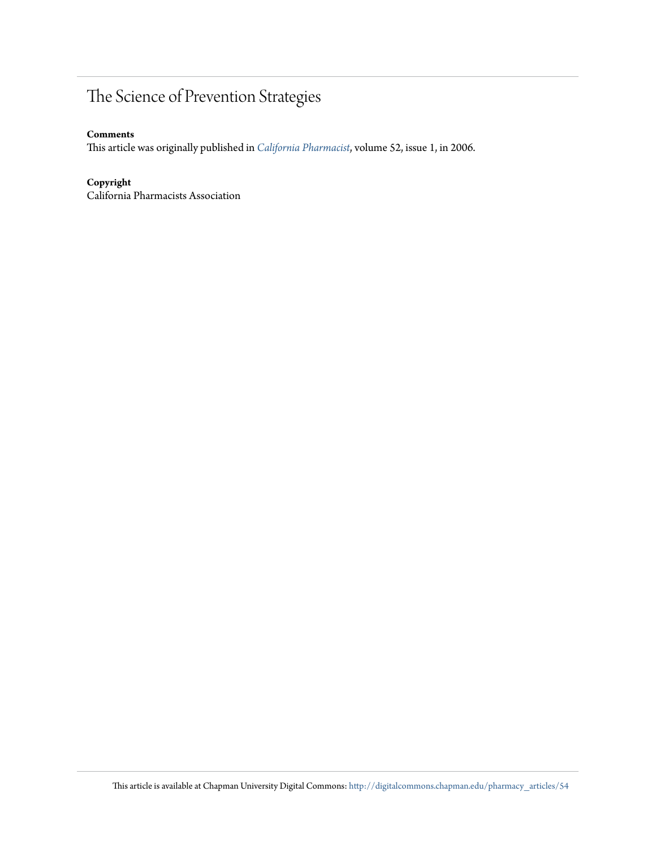# The Science of Prevention Strategies

#### **Comments**

This article was originally published in *[California Pharmacist](http://www.cpha.com/Communications/California-Pharmacist-Journal)*, volume 52, issue 1, in 2006.

#### **Copyright**

California Pharmacists Association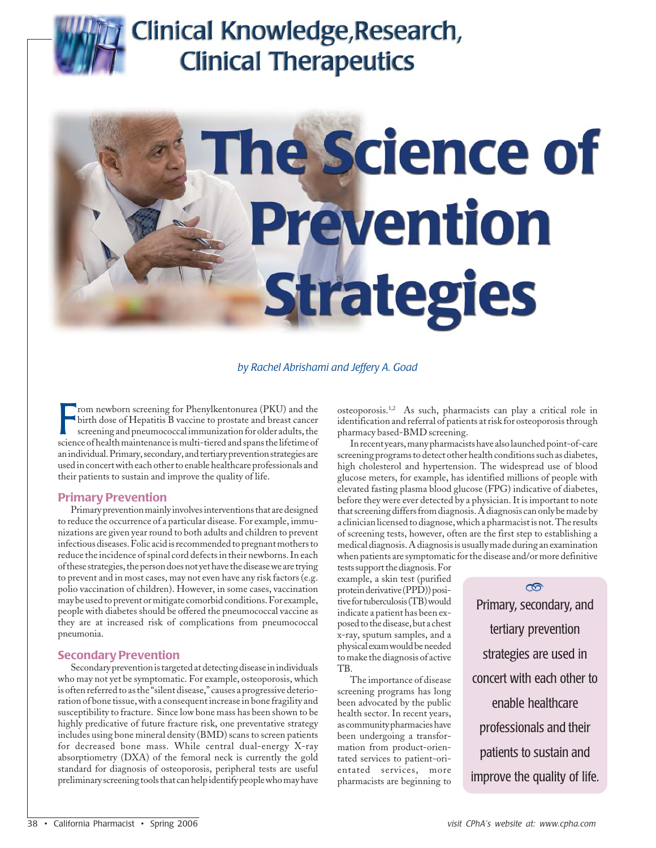# Clinical Knowledge, Research, **Clinical Therapeutics**



*by Rachel Abrishami and Jeffery A. Goad*

From newborn screening for Phenylkentonurea (PKU) and the birth dose of Hepatitis B vaccine to prostate and breast cancer screening and pneumococcal immunization for older adults, the science of health maintenance is multi rom newborn screening for Phenylkentonurea (PKU) and the birth dose of Hepatitis B vaccine to prostate and breast cancer screening and pneumococcal immunization for older adults, the an individual. Primary, secondary, and tertiary prevention strategies are used in concert with each other to enable healthcare professionals and their patients to sustain and improve the quality of life.

#### **Primary Prevention**

Primary prevention mainly involves interventions that are designed to reduce the occurrence of a particular disease. For example, immunizations are given year round to both adults and children to prevent infectious diseases. Folic acid is recommended to pregnant mothers to reduce the incidence of spinal cord defects in their newborns. In each of these strategies, the person does not yet have the disease we are trying to prevent and in most cases, may not even have any risk factors (e.g. polio vaccination of children). However, in some cases, vaccination may be used to prevent or mitigate comorbid conditions. For example, people with diabetes should be offered the pneumococcal vaccine as they are at increased risk of complications from pneumococcal pneumonia.

#### **Secondary Prevention**

Secondary prevention is targeted at detecting disease in individuals who may not yet be symptomatic. For example, osteoporosis, which is often referred to as the "silent disease," causes a progressive deterioration of bone tissue, with a consequent increase in bone fragility and susceptibility to fracture. Since low bone mass has been shown to be highly predicative of future fracture risk, one preventative strategy includes using bone mineral density (BMD) scans to screen patients for decreased bone mass. While central dual-energy X-ray absorptiometry (DXA) of the femoral neck is currently the gold standard for diagnosis of osteoporosis, peripheral tests are useful preliminary screening tools that can help identify people who may have

osteoporosis.1,2 As such, pharmacists can play a critical role in identification and referral of patients at risk for osteoporosis through pharmacy based-BMD screening.

In recent years, many pharmacists have also launched point-of-care screening programs to detect other health conditions such as diabetes, high cholesterol and hypertension. The widespread use of blood glucose meters, for example, has identified millions of people with elevated fasting plasma blood glucose (FPG) indicative of diabetes, before they were ever detected by a physician. It is important to note that screening differs from diagnosis. A diagnosis can only be made by a clinician licensed to diagnose, which a pharmacist is not. The results of screening tests, however, often are the first step to establishing a medical diagnosis. A diagnosis is usually made during an examination when patients are symptomatic for the disease and/or more definitive

tests support the diagnosis. For example, a skin test (purified protein derivative (PPD)) positive for tuberculosis (TB) would indicate a patient has been exposed to the disease, but a chest x-ray, sputum samples, and a physical exam would be needed to make the diagnosis of active TB.

The importance of disease screening programs has long been advocated by the public health sector. In recent years, as community pharmacies have been undergoing a transformation from product-orientated services to patient-orientated services, more pharmacists are beginning to

Primary, secondary, and tertiary prevention strategies are used in concert with each other to enable healthcare professionals and their patients to sustain and improve the quality of life. ത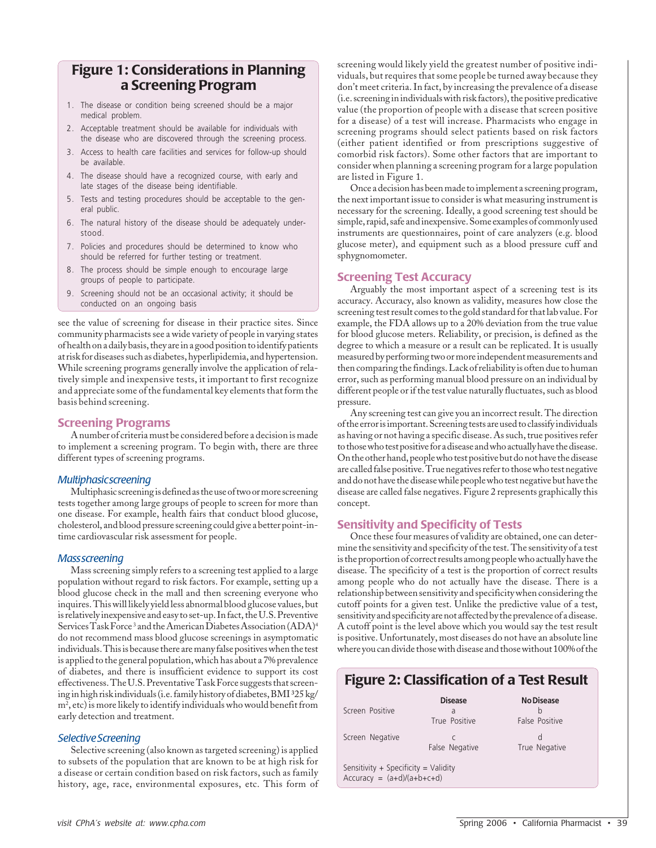## **Figure 1: Considerations in Planning a Screening Program**

- 1. The disease or condition being screened should be a major medical problem.
- 2. Acceptable treatment should be available for individuals with the disease who are discovered through the screening process.
- 3. Access to health care facilities and services for follow-up should be available.
- 4. The disease should have a recognized course, with early and late stages of the disease being identifiable.
- 5. Tests and testing procedures should be acceptable to the general public.
- 6. The natural history of the disease should be adequately understood.
- 7. Policies and procedures should be determined to know who should be referred for further testing or treatment.
- 8. The process should be simple enough to encourage large groups of people to participate.
- 9. Screening should not be an occasional activity; it should be conducted on an ongoing basis

see the value of screening for disease in their practice sites. Since community pharmacists see a wide variety of people in varying states of health on a daily basis, they are in a good position to identify patients at risk for diseases such as diabetes, hyperlipidemia, and hypertension. While screening programs generally involve the application of relatively simple and inexpensive tests, it important to first recognize and appreciate some of the fundamental key elements that form the basis behind screening.

#### **Screening Programs**

A number of criteria must be considered before a decision is made to implement a screening program. To begin with, there are three different types of screening programs.

#### *Multiphasic screening*

Multiphasic screening is defined as the use of two or more screening tests together among large groups of people to screen for more than one disease. For example, health fairs that conduct blood glucose, cholesterol, and blood pressure screening could give a better point-intime cardiovascular risk assessment for people.

#### *Mass screening*

Mass screening simply refers to a screening test applied to a large population without regard to risk factors. For example, setting up a blood glucose check in the mall and then screening everyone who inquires. This will likely yield less abnormal blood glucose values, but is relatively inexpensive and easy to set-up. In fact, the U.S. Preventive Services Task Force <sup>3</sup> and the American Diabetes Association (ADA)<sup>4</sup> do not recommend mass blood glucose screenings in asymptomatic individuals. This is because there are many false positives when the test is applied to the general population, which has about a 7% prevalence of diabetes, and there is insufficient evidence to support its cost effectiveness. The U.S. Preventative Task Force suggests that screening in high risk individuals (i.e. family history of diabetes, BMI ³25 kg/ m<sup>2</sup>, etc) is more likely to identify individuals who would benefit from early detection and treatment.

#### *Selective Screening*

Selective screening (also known as targeted screening) is applied to subsets of the population that are known to be at high risk for a disease or certain condition based on risk factors, such as family history, age, race, environmental exposures, etc. This form of screening would likely yield the greatest number of positive individuals, but requires that some people be turned away because they don't meet criteria. In fact, by increasing the prevalence of a disease (i.e. screening in individuals with risk factors), the positive predicative value (the proportion of people with a disease that screen positive for a disease) of a test will increase. Pharmacists who engage in screening programs should select patients based on risk factors (either patient identified or from prescriptions suggestive of comorbid risk factors). Some other factors that are important to consider when planning a screening program for a large population are listed in Figure 1.

Once a decision has been made to implement a screening program, the next important issue to consider is what measuring instrument is necessary for the screening. Ideally, a good screening test should be simple, rapid, safe and inexpensive. Some examples of commonly used instruments are questionnaires, point of care analyzers (e.g. blood glucose meter), and equipment such as a blood pressure cuff and sphygnomometer.

#### **Screening Test Accuracy**

Arguably the most important aspect of a screening test is its accuracy. Accuracy, also known as validity, measures how close the screening test result comes to the gold standard for that lab value. For example, the FDA allows up to a 20% deviation from the true value for blood glucose meters. Reliability, or precision, is defined as the degree to which a measure or a result can be replicated. It is usually measured by performing two or more independent measurements and then comparing the findings. Lack of reliability is often due to human error, such as performing manual blood pressure on an individual by different people or if the test value naturally fluctuates, such as blood pressure.

Any screening test can give you an incorrect result. The direction of the error is important. Screening tests are used to classify individuals as having or not having a specific disease. As such, true positives refer to those who test positive for a disease and who actually have the disease. On the other hand, people who test positive but do not have the disease are called false positive. True negatives refer to those who test negative and do not have the disease while people who test negative but have the disease are called false negatives. Figure 2 represents graphically this concept.

#### **Sensitivity and Specificity of Tests**

Once these four measures of validity are obtained, one can determine the sensitivity and specificity of the test. The sensitivity of a test is the proportion of correct results among people who actually have the disease. The specificity of a test is the proportion of correct results among people who do not actually have the disease. There is a relationship between sensitivity and specificity when considering the cutoff points for a given test. Unlike the predictive value of a test, sensitivity and specificity are not affected by the prevalence of a disease. A cutoff point is the level above which you would say the test result is positive. Unfortunately, most diseases do not have an absolute line where you can divide those with disease and those without 100% of the

### **Figure 2: Classification of a Test Result**

| Screen Positive<br>Screen Negative                                   | <b>Disease</b><br>a<br>True Positive<br>C<br>False Negative | <b>No Disease</b><br>False Positive<br>U<br>True Negative |  |  |  |  |  |
|----------------------------------------------------------------------|-------------------------------------------------------------|-----------------------------------------------------------|--|--|--|--|--|
| Sensitivity + Specificity = Validity<br>$Accuracy = (a+d)/(a+b+c+d)$ |                                                             |                                                           |  |  |  |  |  |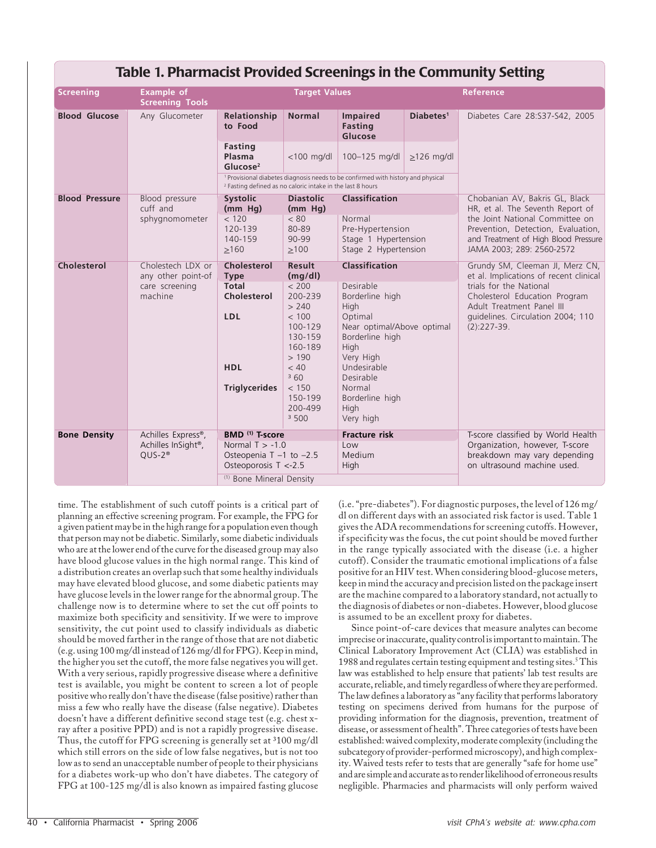| Table 1. Pharmacist Provided Screenings in the Community Setting |                                                      |                                                                                                                                                                      |                                                                                                                                              |                                                                                                                                                                                                                                            |                                                                                                                                     |                                                                                                                                                                                                                          |  |
|------------------------------------------------------------------|------------------------------------------------------|----------------------------------------------------------------------------------------------------------------------------------------------------------------------|----------------------------------------------------------------------------------------------------------------------------------------------|--------------------------------------------------------------------------------------------------------------------------------------------------------------------------------------------------------------------------------------------|-------------------------------------------------------------------------------------------------------------------------------------|--------------------------------------------------------------------------------------------------------------------------------------------------------------------------------------------------------------------------|--|
| <b>Screening</b>                                                 | <b>Example of</b><br><b>Screening Tools</b>          | <b>Target Values</b>                                                                                                                                                 |                                                                                                                                              |                                                                                                                                                                                                                                            | <b>Reference</b>                                                                                                                    |                                                                                                                                                                                                                          |  |
| <b>Blood Glucose</b>                                             | Any Glucometer                                       | Relationship<br>to Food                                                                                                                                              | <b>Normal</b>                                                                                                                                | <b>Impaired</b><br>Fasting<br>Glucose                                                                                                                                                                                                      | Diabetes <sup>1</sup>                                                                                                               | Diabetes Care 28:S37-S42, 2005                                                                                                                                                                                           |  |
|                                                                  |                                                      | <b>Fasting</b><br>Plasma<br>Glucose <sup>2</sup>                                                                                                                     | $<$ 100 mg/dl                                                                                                                                | 100-125 mg/dl                                                                                                                                                                                                                              | $>126$ mg/dl                                                                                                                        |                                                                                                                                                                                                                          |  |
|                                                                  |                                                      | <sup>1</sup> Provisional diabetes diagnosis needs to be confirmed with history and physical<br><sup>2</sup> Fasting defined as no caloric intake in the last 8 hours |                                                                                                                                              |                                                                                                                                                                                                                                            |                                                                                                                                     |                                                                                                                                                                                                                          |  |
| <b>Blood Pressure</b><br>cuff and                                | Blood pressure                                       | <b>Systolic</b><br>(mm Hg)                                                                                                                                           | <b>Diastolic</b><br>(mm Hg)                                                                                                                  | <b>Classification</b>                                                                                                                                                                                                                      |                                                                                                                                     | Chobanian AV, Bakris GL, Black<br>HR, et al. The Seventh Report of                                                                                                                                                       |  |
|                                                                  | sphygnomometer                                       | < 120<br>120-139<br>140-159<br>>160                                                                                                                                  | < 80<br>80-89<br>90-99<br>$\geq 100$                                                                                                         | Normal<br>Pre-Hypertension<br>Stage 1 Hypertension<br>Stage 2 Hypertension                                                                                                                                                                 |                                                                                                                                     | the Joint National Committee on<br>Prevention, Detection, Evaluation,<br>and Treatment of High Blood Pressure<br>JAMA 2003; 289: 2560-2572                                                                               |  |
| <b>Cholesterol</b>                                               | Cholestech LDX or                                    | Cholesterol                                                                                                                                                          | <b>Result</b>                                                                                                                                | <b>Classification</b><br>Desirable<br>Borderline high<br><b>High</b><br>Optimal<br>Near optimal/Above optimal<br>Borderline high<br>High<br>Very High<br>Undesirable<br>Desirable<br>Normal<br>Borderline high<br><b>High</b><br>Very high |                                                                                                                                     | Grundy SM, Cleeman JI, Merz CN,<br>et al. Implications of recent clinical<br>trials for the National<br>Cholesterol Education Program<br>Adult Treatment Panel III<br>quidelines. Circulation 2004; 110<br>$(2):227-39.$ |  |
|                                                                  | any other point-of<br>care screening<br>machine      | <b>Type</b><br><b>Total</b><br>Cholesterol<br><b>LDL</b><br><b>HDL</b><br><b>Triglycerides</b>                                                                       | (mq/dl)<br>< 200<br>200-239<br>> 240<br>< 100<br>100-129<br>130-159<br>160-189<br>>190<br>< 40<br>360<br>< 150<br>150-199<br>200-499<br>3500 |                                                                                                                                                                                                                                            |                                                                                                                                     |                                                                                                                                                                                                                          |  |
| <b>Bone Density</b>                                              | Achilles Express®,<br>Achilles InSight®,<br>$QUS-2®$ | BMD <sup>(1)</sup> T-score<br><b>Fracture risk</b><br>Normal $T > -1.0$<br>Low                                                                                       |                                                                                                                                              |                                                                                                                                                                                                                                            | T-score classified by World Health<br>Organization, however, T-score<br>breakdown may vary depending<br>on ultrasound machine used. |                                                                                                                                                                                                                          |  |
|                                                                  |                                                      | Osteopenia T -1 to -2.5<br>Medium<br>Osteoporosis T <- 2.5<br>High                                                                                                   |                                                                                                                                              |                                                                                                                                                                                                                                            |                                                                                                                                     |                                                                                                                                                                                                                          |  |
|                                                                  |                                                      |                                                                                                                                                                      | <sup>(1)</sup> Bone Mineral Density                                                                                                          |                                                                                                                                                                                                                                            |                                                                                                                                     |                                                                                                                                                                                                                          |  |

time. The establishment of such cutoff points is a critical part of planning an effective screening program. For example, the FPG for a given patient may be in the high range for a population even though that person may not be diabetic. Similarly, some diabetic individuals who are at the lower end of the curve for the diseased group may also have blood glucose values in the high normal range. This kind of a distribution creates an overlap such that some healthy individuals may have elevated blood glucose, and some diabetic patients may have glucose levels in the lower range for the abnormal group. The challenge now is to determine where to set the cut off points to maximize both specificity and sensitivity. If we were to improve sensitivity, the cut point used to classify individuals as diabetic should be moved farther in the range of those that are not diabetic (e.g. using 100 mg/dl instead of 126 mg/dl for FPG). Keep in mind, the higher you set the cutoff, the more false negatives you will get. With a very serious, rapidly progressive disease where a definitive test is available, you might be content to screen a lot of people positive who really don't have the disease (false positive) rather than miss a few who really have the disease (false negative). Diabetes doesn't have a different definitive second stage test (e.g. chest xray after a positive PPD) and is not a rapidly progressive disease. Thus, the cutoff for FPG screening is generally set at <sup>3</sup>100 mg/dl which still errors on the side of low false negatives, but is not too low as to send an unacceptable number of people to their physicians for a diabetes work-up who don't have diabetes. The category of FPG at 100-125 mg/dl is also known as impaired fasting glucose (i.e. "pre-diabetes"). For diagnostic purposes, the level of 126 mg/ dl on different days with an associated risk factor is used. Table 1 gives the ADA recommendations for screening cutoffs. However, if specificity was the focus, the cut point should be moved further in the range typically associated with the disease (i.e. a higher cutoff). Consider the traumatic emotional implications of a false positive for an HIV test. When considering blood-glucose meters, keep in mind the accuracy and precision listed on the package insert are the machine compared to a laboratory standard, not actually to the diagnosis of diabetes or non-diabetes. However, blood glucose is assumed to be an excellent proxy for diabetes.

Since point-of-care devices that measure analytes can become imprecise or inaccurate, quality control is important to maintain. The Clinical Laboratory Improvement Act (CLIA) was established in 1988 and regulates certain testing equipment and testing sites.<sup>5</sup> This law was established to help ensure that patients' lab test results are accurate, reliable, and timely regardless of where they are performed. The law defines a laboratory as "any facility that performs laboratory testing on specimens derived from humans for the purpose of providing information for the diagnosis, prevention, treatment of disease, or assessment of health". Three categories of tests have been established: waived complexity, moderate complexity (including the subcategory of provider-performed microscopy), and high complexity. Waived tests refer to tests that are generally "safe for home use" and are simple and accurate as to render likelihood of erroneous results negligible. Pharmacies and pharmacists will only perform waived